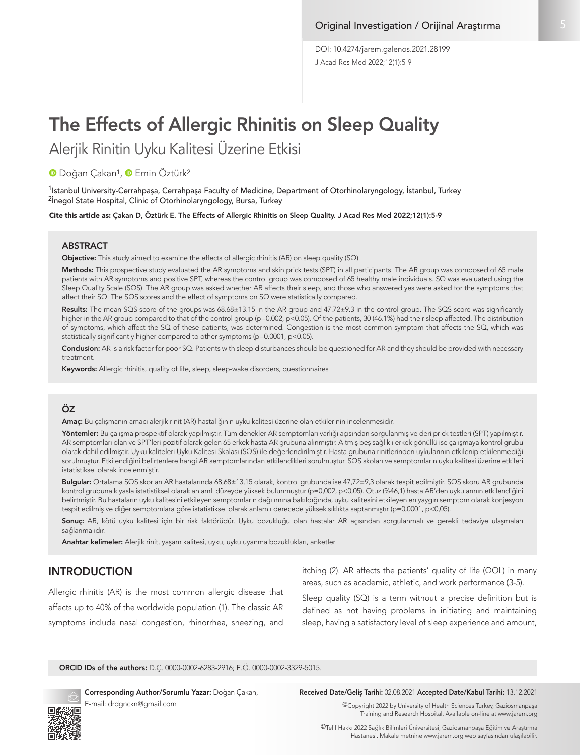J Acad Res Med 2022;12(1):5-9 DOI: 10.4274/jarem.galenos.2021.28199

# The Effects of Allergic Rhinitis on Sleep Quality

Alerjik Rinitin Uyku Kalitesi Üzerine Etkisi

**D**Doğan Cakan<sup>1</sup>, **D** Emin Öztürk<sup>2</sup>

<sup>1</sup>Istanbul University-Cerrahpaşa, Cerrahpaşa Faculty of Medicine, Department of Otorhinolaryngology, İstanbul, Turkey <sup>2</sup>İnegol State Hospital, Clinic of Otorhinolaryngology, Bursa, Turkey

Cite this article as: Çakan D, Öztürk E. The Effects of Allergic Rhinitis on Sleep Quality. J Acad Res Med 2022;12(1):5-9

#### **ABSTRACT**

Objective: This study aimed to examine the effects of allergic rhinitis (AR) on sleep quality (SQ).

Methods: This prospective study evaluated the AR symptoms and skin prick tests (SPT) in all participants. The AR group was composed of 65 male patients with AR symptoms and positive SPT, whereas the control group was composed of 65 healthy male individuals. SQ was evaluated using the Sleep Quality Scale (SQS). The AR group was asked whether AR affects their sleep, and those who answered yes were asked for the symptoms that affect their SQ. The SQS scores and the effect of symptoms on SQ were statistically compared.

Results: The mean SQS score of the groups was 68.68±13.15 in the AR group and 47.72±9.3 in the control group. The SQS score was significantly higher in the AR group compared to that of the control group (p=0.002, p<0.05). Of the patients, 30 (46.1%) had their sleep affected. The distribution of symptoms, which affect the SQ of these patients, was determined. Congestion is the most common symptom that affects the SQ, which was statistically significantly higher compared to other symptoms (p=0.0001, p<0.05).

Conclusion: AR is a risk factor for poor SQ. Patients with sleep disturbances should be questioned for AR and they should be provided with necessary treatment.

Keywords: Allergic rhinitis, quality of life, sleep, sleep-wake disorders, questionnaires

# ÖZ

Amaç: Bu çalışmanın amacı alerjik rinit (AR) hastalığının uyku kalitesi üzerine olan etkilerinin incelenmesidir.

Yöntemler: Bu çalışma prospektif olarak yapılmıştır. Tüm denekler AR semptomları varlığı açısından sorgulanmış ve deri prick testleri (SPT) yapılmıştır. AR semptomları olan ve SPT'leri pozitif olarak gelen 65 erkek hasta AR grubuna alınmıştır. Altmış beş sağlıklı erkek gönüllü ise çalışmaya kontrol grubu olarak dahil edilmiştir. Uyku kaliteleri Uyku Kalitesi Skalası (SQS) ile değerlendirilmiştir. Hasta grubuna rinitlerinden uykularının etkilenip etkilenmediği sorulmuştur. Etkilendiğini belirtenlere hangi AR semptomlarından etkilendikleri sorulmuştur. SQS skoları ve semptomların uyku kalitesi üzerine etkileri istatistiksel olarak incelenmiştir.

Bulgular: Ortalama SQS skorları AR hastalarında 68,68±13,15 olarak, kontrol grubunda ise 47,72±9,3 olarak tespit edilmiştir. SQS skoru AR grubunda kontrol grubuna kıyasla istatistiksel olarak anlamlı düzeyde yüksek bulunmuştur (p=0,002, p<0,05). Otuz (%46,1) hasta AR'den uykularının etkilendiğini belirtmiştir. Bu hastaların uyku kalitesini etkileyen semptomların dağılımına bakıldığında, uyku kalitesini etkileyen en yaygın semptom olarak konjesyon tespit edilmiş ve diğer semptomlara göre istatistiksel olarak anlamlı derecede yüksek sıklıkta saptanmıştır (p=0,0001, p<0,05).

Sonuç: AR, kötü uyku kalitesi için bir risk faktörüdür. Uyku bozukluğu olan hastalar AR açısından sorgulanmalı ve gerekli tedaviye ulaşmaları sağlanmalıdır.

Anahtar kelimeler: Alerjik rinit, yaşam kalitesi, uyku, uyku uyanma bozuklukları, anketler

# INTRODUCTION

Allergic rhinitis (AR) is the most common allergic disease that affects up to 40% of the worldwide population (1). The classic AR symptoms include nasal congestion, rhinorrhea, sneezing, and itching (2). AR affects the patients' quality of life (QOL) in many areas, such as academic, athletic, and work performance (3-5).

Sleep quality (SQ) is a term without a precise definition but is defined as not having problems in initiating and maintaining sleep, having a satisfactory level of sleep experience and amount,

ORCID IDs of the authors: D.Ç. 0000-0002-6283-2916; E.Ö. 0000-0002-3329-5015.



E-mail: drdgnckn@gmail.com

#### Corresponding Author/Sorumlu Yazar: Doğan Çakan, Received Date/Geliş Tarihi: 02.08.2021 Accepted Date/Kabul Tarihi: 13.12.2021

©Copyright 2022 by University of Health Sciences Turkey, Gaziosmanpaşa Training and Research Hospital. Available on-line at www.jarem.org

©Telif Hakkı 2022 Sağlık Bilimleri Üniversitesi, Gaziosmanpaşa Eğitim ve Araştırma Hastanesi. Makale metnine www.jarem.org web sayfasından ulaşılabilir.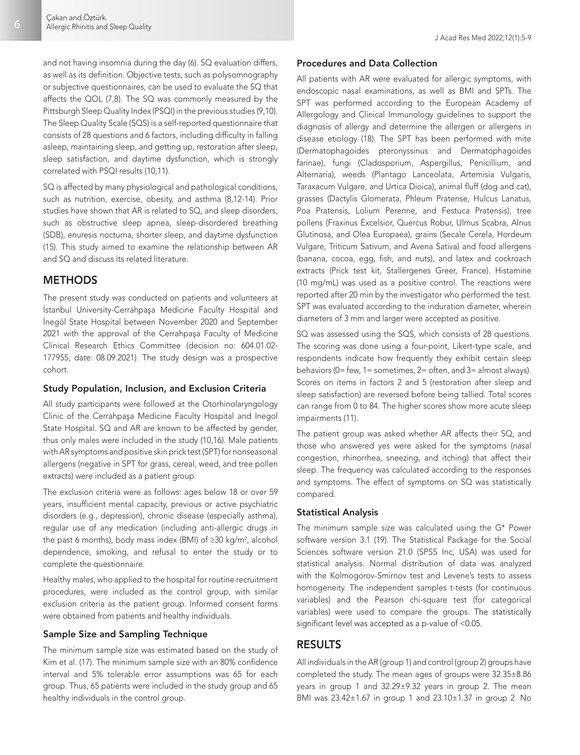and not having insomnia during the day (6). SQ evaluation differs, as well as its definition. Objective tests, such as polysomnography or subjective questionnaires, can be used to evaluate the SQ that affects the QOL (7,8). The SQ was commonly measured by the Pittsburgh Sleep Quality Index (PSQI) in the previous studies (9,10). The Sleep Quality Scale (SQS) is a self-reported questionnaire that consists of 28 questions and 6 factors, including difficulty in falling asleep, maintaining sleep, and getting up, restoration after sleep, sleep satisfaction, and daytime dysfunction, which is strongly correlated with PSQI results (10,11).

SQ is affected by many physiological and pathological conditions, such as nutrition, exercise, obesity, and asthma (8,12-14). Prior studies have shown that AR is related to SQ, and sleep disorders, such as obstructive sleep apnea, sleep-disordered breathing (SDB), enuresis nocturna, shorter sleep, and daytime dysfunction (15). This study aimed to examine the relationship between AR and SQ and discuss its related literature.

## **METHODS**

The present study was conducted on patients and volunteers at İstanbul University-Cerrahpaşa Medicine Faculty Hospital and İnegöl State Hospital between November 2020 and September 2021 with the approval of the Cerrahpaşa Faculty of Medicine Clinical Research Ethics Committee (decision no: 604.01.02- 177955, date: 08.09.2021). The study design was a prospective cohort.

#### Study Population, Inclusion, and Exclusion Criteria

All study participants were followed at the Otorhinolaryngology Clinic of the Cerrahpaşa Medicine Faculty Hospital and Inegol State Hospital. SQ and AR are known to be affected by gender, thus only males were included in the study (10,16). Male patients with AR symptoms and positive skin prick test (SPT) for nonseasonal allergens (negative in SPT for grass, cereal, weed, and tree pollen extracts) were included as a patient group.

The exclusion criteria were as follows: ages below 18 or over 59 years, insufficient mental capacity, previous or active psychiatric disorders (e.g., depression), chronic disease (especially asthma), regular use of any medication (including anti-allergic drugs in the past 6 months), body mass index (BMI) of ≥30 kg/m<sup>2</sup>, alcohol dependence, smoking, and refusal to enter the study or to complete the questionnaire.

Healthy males, who applied to the hospital for routine recruitment procedures, were included as the control group, with similar exclusion criteria as the patient group. Informed consent forms were obtained from patients and healthy individuals.

#### Sample Size and Sampling Technique

The minimum sample size was estimated based on the study of Kim et al. (17). The minimum sample size with an 80% confidence interval and 5% tolerable error assumptions was 65 for each group. Thus, 65 patients were included in the study group and 65 healthy individuals in the control group.

#### Procedures and Data Collection

All patients with AR were evaluated for allergic symptoms, with endoscopic nasal examinations, as well as BMI and SPTs. The SPT was performed according to the European Academy of Allergology and Clinical Immunology guidelines to support the diagnosis of allergy and determine the allergen or allergens in disease etiology (18). The SPT has been performed with mite (Dermatophagoides pteronyssinus and Dermatophagoides farinae), fungi (Cladosporium, Aspergillus, Penicillium, and Alternaria), weeds (Plantago Lanceolata, Artemisia Vulgaris, Taraxacum Vulgare, and Urtica Dioica), animal fluff (dog and cat), grasses (Dactylis Glomerata, Phleum Pratense, Hulcus Lanatus, Poa Pratensis, Lolium Perenne, and Festuca Pratensis), tree pollens (Fraxinus Excelsior, Quercus Robur, Ulmus Scabra, Alnus Glutinosa, and Olea Europaea), grains (Secale Cerela, Hordeum Vulgare, Triticum Sativum, and Avena Sativa) and food allergens (banana, cocoa, egg, fish, and nuts), and latex and cockroach extracts (Prick test kit, Stallergenes Greer, France). Histamine (10 mg/mL) was used as a positive control. The reactions were reported after 20 min by the investigator who performed the test. SPT was evaluated according to the induration diameter, wherein diameters of 3 mm and larger were accepted as positive.

SQ was assessed using the SQS, which consists of 28 questions. The scoring was done using a four-point, Likert-type scale, and respondents indicate how frequently they exhibit certain sleep behaviors (0= few, 1= sometimes, 2= often, and 3= almost always). Scores on items in factors 2 and 5 (restoration after sleep and sleep satisfaction) are reversed before being tallied. Total scores can range from 0 to 84. The higher scores show more acute sleep impairments (11).

The patient group was asked whether AR affects their SQ, and those who answered yes were asked for the symptoms (nasal congestion, rhinorrhea, sneezing, and itching) that affect their sleep. The frequency was calculated according to the responses and symptoms. The effect of symptoms on SQ was statistically compared.

#### Statistical Analysis

The minimum sample size was calculated using the G\* Power software version 3.1 (19). The Statistical Package for the Social Sciences software version 21.0 (SPSS Inc, USA) was used for statistical analysis. Normal distribution of data was analyzed with the Kolmogorov-Smirnov test and Levene's tests to assess homogeneity. The independent samples t-tests (for continuous variables) and the Pearson chi-square test (for categorical variables) were used to compare the groups. The statistically significant level was accepted as a p-value of <0.05.

## RESULTS

All individuals in the AR (group 1) and control (group 2) groups have completed the study. The mean ages of groups were 32.35±8.86 years in group 1 and 32.29±9.32 years in group 2. The mean BMI was 23.42±1.67 in group 1 and 23.10±1.37 in group 2. No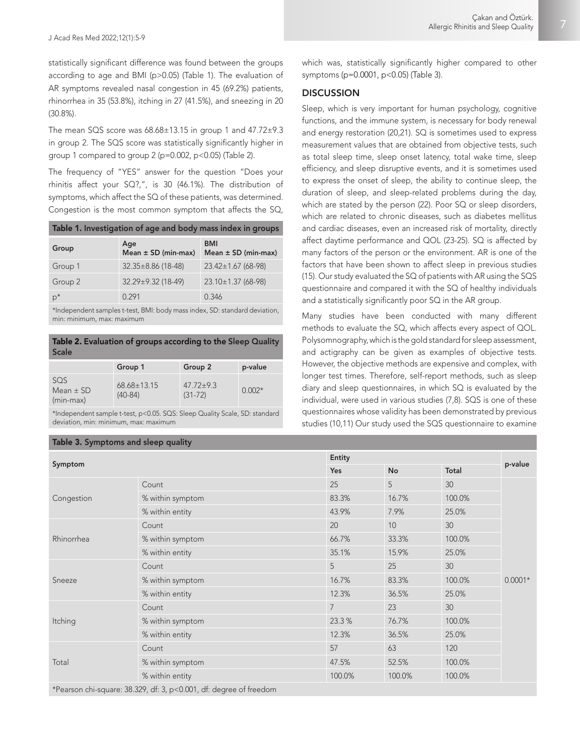7

statistically significant difference was found between the groups according to age and BMI (p>0.05) (Table 1). The evaluation of AR symptoms revealed nasal congestion in 45 (69.2%) patients, rhinorrhea in 35 (53.8%), itching in 27 (41.5%), and sneezing in 20 (30.8%).

The mean SQS score was  $68.68 \pm 13.15$  in group 1 and  $47.72 \pm 9.3$ in group 2. The SQS score was statistically significantly higher in group 1 compared to group 2 (p=0.002, p<0.05) (Table 2).

The frequency of "YES" answer for the question "Does your rhinitis affect your SQ?,", is 30 (46.1%). The distribution of symptoms, which affect the SQ of these patients, was determined. Congestion is the most common symptom that affects the SQ,

| Table 1. Investigation of age and body mass index in groups |                                |                                       |  |  |  |  |
|-------------------------------------------------------------|--------------------------------|---------------------------------------|--|--|--|--|
| Group                                                       | Age<br>Mean $\pm$ SD (min-max) | <b>BMI</b><br>Mean $\pm$ SD (min-max) |  |  |  |  |
| Group 1                                                     | $32.35 \pm 8.86$ (18-48)       | $23.42 \pm 1.67$ (68-98)              |  |  |  |  |
| Group 2                                                     | 32.29±9.32 (18-49)             | $23.10 \pm 1.37$ (68-98)              |  |  |  |  |
| $p^*$                                                       | 0.291                          | 0.346                                 |  |  |  |  |

\*Independent samples t-test, BMI: body mass index, SD: standard deviation, min: minimum, max: maximum

#### Table 2. Evaluation of groups according to the Sleep Quality Scale

|                                      | Group 1                        | Group 2                        | p-value  |
|--------------------------------------|--------------------------------|--------------------------------|----------|
| SOS.<br>Mean $\pm$ SD<br>$(min-max)$ | $68.68 \pm 13.15$<br>$(40-84)$ | $47.72 \pm 9.3$<br>$(31 - 72)$ | $0.002*$ |

\*Independent sample t-test, p<0.05. SQS: Sleep Quality Scale, SD: standard deviation, min: minimum, max: maximum

#### Table 3. Symptoms and sleep quality

which was, statistically significantly higher compared to other symptoms (p=0.0001, p<0.05) (Table 3).

## **DISCUSSION**

Sleep, which is very important for human psychology, cognitive functions, and the immune system, is necessary for body renewal and energy restoration (20,21). SQ is sometimes used to express measurement values that are obtained from objective tests, such as total sleep time, sleep onset latency, total wake time, sleep efficiency, and sleep disruptive events, and it is sometimes used to express the onset of sleep, the ability to continue sleep, the duration of sleep, and sleep-related problems during the day, which are stated by the person (22). Poor SQ or sleep disorders, which are related to chronic diseases, such as diabetes mellitus and cardiac diseases, even an increased risk of mortality, directly affect daytime performance and QOL (23-25). SQ is affected by many factors of the person or the environment. AR is one of the factors that have been shown to affect sleep in previous studies (15). Our study evaluated the SQ of patients with AR using the SQS questionnaire and compared it with the SQ of healthy individuals and a statistically significantly poor SQ in the AR group.

Many studies have been conducted with many different methods to evaluate the SQ, which affects every aspect of QOL. Polysomnography, which is the gold standard for sleep assessment, and actigraphy can be given as examples of objective tests. However, the objective methods are expensive and complex, with longer test times. Therefore, self-report methods, such as sleep diary and sleep questionnaires, in which SQ is evaluated by the individual, were used in various studies (7,8). SQS is one of these questionnaires whose validity has been demonstrated by previous studies (10,11) Our study used the SQS questionnaire to examine

|            |                  | Entity         |        |                 |           |  |
|------------|------------------|----------------|--------|-----------------|-----------|--|
| Symptom    | Yes<br>No        |                | Total  | p-value         |           |  |
| Congestion | Count            | 25             | 5      | 30              |           |  |
|            | % within symptom | 83.3%          | 16.7%  | 100.0%          |           |  |
|            | % within entity  | 43.9%          | 7.9%   | 25.0%           |           |  |
| Rhinorrhea | Count            | 20             | 10     | 30 <sup>°</sup> |           |  |
|            | % within symptom | 66.7%          | 33.3%  | 100.0%          |           |  |
|            | % within entity  | 35.1%          | 15.9%  | 25.0%           |           |  |
| Sneeze     | Count            | 5              | 25     | 30              |           |  |
|            | % within symptom | 16.7%          | 83.3%  | 100.0%          | $0.0001*$ |  |
|            | % within entity  | 12.3%          | 36.5%  | 25.0%           |           |  |
| Itching    | Count            | $\overline{7}$ | 23     | 30              |           |  |
|            | % within symptom | 23.3%          | 76.7%  | 100.0%          |           |  |
|            | % within entity  | 12.3%          | 36.5%  | 25.0%           |           |  |
| Total      | Count            | 57             | 63     | 120             |           |  |
|            | % within symptom | 47.5%          | 52.5%  | 100.0%          |           |  |
|            | % within entity  | 100.0%         | 100.0% | 100.0%          |           |  |
| $*Pex$     |                  |                |        |                 |           |  |

\*Pearson chi-square: 38.329, df: 3, p<0.001, df: degree of freedom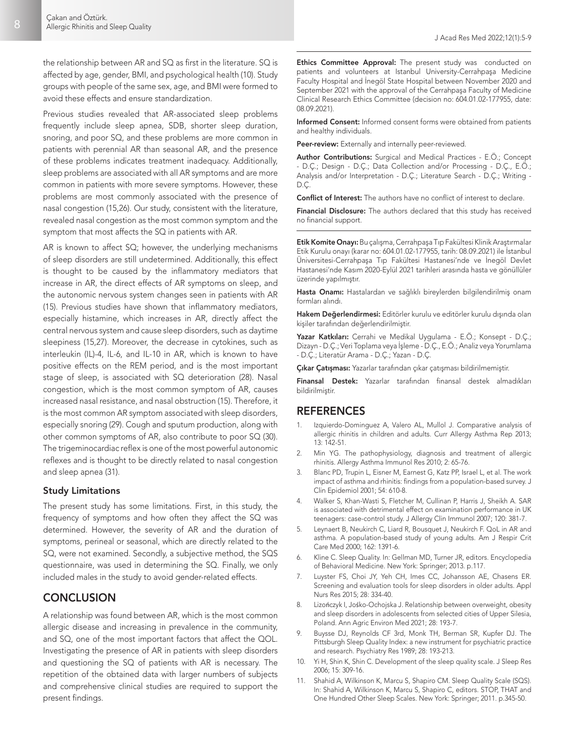the relationship between AR and SQ as first in the literature. SQ is affected by age, gender, BMI, and psychological health (10). Study groups with people of the same sex, age, and BMI were formed to avoid these effects and ensure standardization.

Previous studies revealed that AR-associated sleep problems frequently include sleep apnea, SDB, shorter sleep duration, snoring, and poor SQ, and these problems are more common in patients with perennial AR than seasonal AR, and the presence of these problems indicates treatment inadequacy. Additionally, sleep problems are associated with all AR symptoms and are more common in patients with more severe symptoms. However, these problems are most commonly associated with the presence of nasal congestion (15,26). Our study, consistent with the literature, revealed nasal congestion as the most common symptom and the symptom that most affects the SQ in patients with AR.

AR is known to affect SQ; however, the underlying mechanisms of sleep disorders are still undetermined. Additionally, this effect is thought to be caused by the inflammatory mediators that increase in AR, the direct effects of AR symptoms on sleep, and the autonomic nervous system changes seen in patients with AR (15). Previous studies have shown that inflammatory mediators, especially histamine, which increases in AR, directly affect the central nervous system and cause sleep disorders, such as daytime sleepiness (15,27). Moreover, the decrease in cytokines, such as interleukin (IL)-4, IL-6, and IL-10 in AR, which is known to have positive effects on the REM period, and is the most important stage of sleep, is associated with SQ deterioration (28). Nasal congestion, which is the most common symptom of AR, causes increased nasal resistance, and nasal obstruction (15). Therefore, it is the most common AR symptom associated with sleep disorders, especially snoring (29). Cough and sputum production, along with other common symptoms of AR, also contribute to poor SQ (30). The trigeminocardiac reflex is one of the most powerful autonomic reflexes and is thought to be directly related to nasal congestion and sleep apnea (31).

#### Study Limitations

The present study has some limitations. First, in this study, the frequency of symptoms and how often they affect the SQ was determined. However, the severity of AR and the duration of symptoms, perineal or seasonal, which are directly related to the SQ, were not examined. Secondly, a subjective method, the SQS questionnaire, was used in determining the SQ. Finally, we only included males in the study to avoid gender-related effects.

# **CONCLUSION**

A relationship was found between AR, which is the most common allergic disease and increasing in prevalence in the community, and SQ, one of the most important factors that affect the QOL. Investigating the presence of AR in patients with sleep disorders and questioning the SQ of patients with AR is necessary. The repetition of the obtained data with larger numbers of subjects and comprehensive clinical studies are required to support the present findings.

Ethics Committee Approval: The present study was conducted on patients and volunteers at Istanbul University-Cerrahpaşa Medicine Faculty Hospital and İnegöl State Hospital between November 2020 and September 2021 with the approval of the Cerrahpaşa Faculty of Medicine Clinical Research Ethics Committee (decision no: 604.01.02-177955, date: 08.09.2021).

Informed Consent: Informed consent forms were obtained from patients and healthy individuals.

Peer-review: Externally and internally peer-reviewed.

Author Contributions: Surgical and Medical Practices - E.Ö.; Concept - D.Ç.; Design - D.Ç.; Data Collection and/or Processing - D.Ç., E.Ö.; Analysis and/or Interpretation - D.Ç.; Literature Search - D.Ç.; Writing - D.Ç.

Conflict of Interest: The authors have no conflict of interest to declare.

Financial Disclosure: The authors declared that this study has received no financial support.

Etik Komite Onayı: Bu çalışma, Cerrahpaşa Tıp Fakültesi Klinik Araştırmalar Etik Kurulu onayı (karar no: 604.01.02-177955, tarih: 08.09.2021) ile İstanbul Üniversitesi-Cerrahpaşa Tıp Fakültesi Hastanesi'nde ve İnegöl Devlet Hastanesi'nde Kasım 2020-Eylül 2021 tarihleri arasında hasta ve gönüllüler üzerinde yapılmıştır.

Hasta Onamı: Hastalardan ve sağlıklı bireylerden bilgilendirilmiş onam formları alındı.

Hakem Değerlendirmesi: Editörler kurulu ve editörler kurulu dışında olan kişiler tarafından değerlendirilmiştir.

Yazar Katkıları: Cerrahi ve Medikal Uygulama - E.Ö.; Konsept - D.Ç.; Dizayn - D.Ç.; Veri Toplama veya İşleme - D.Ç., E.Ö.; Analiz veya Yorumlama - D.Ç.; Literatür Arama - D.Ç.; Yazan - D.Ç.

Çıkar Çatışması: Yazarlar tarafından çıkar çatışması bildirilmemiştir.

Finansal Destek: Yazarlar tarafından finansal destek almadıkları bildirilmiştir.

### **REFERENCES**

- Izquierdo-Dominguez A, Valero AL, Mullol J. Comparative analysis of allergic rhinitis in children and adults. Curr Allergy Asthma Rep 2013; 13: 142-51.
- 2. Min YG. The pathophysiology, diagnosis and treatment of allergic rhinitis. Allergy Asthma Immunol Res 2010; 2: 65-76.
- 3. Blanc PD, Trupin L, Eisner M, Earnest G, Katz PP, Israel L, et al. The work impact of asthma and rhinitis: findings from a population-based survey. J Clin Epidemiol 2001; 54: 610-8.
- 4. Walker S, Khan-Wasti S, Fletcher M, Cullinan P, Harris J, Sheikh A. SAR is associated with detrimental effect on examination performance in UK teenagers: case-control study. J Allergy Clin Immunol 2007; 120: 381-7.
- 5. Leynaert B, Neukirch C, Liard R, Bousquet J, Neukirch F. QoL in AR and asthma. A population-based study of young adults. Am J Respir Crit Care Med 2000; 162: 1391-6.
- 6. Kline C. Sleep Quality. In: Gellman MD, Turner JR, editors. Encyclopedia of Behavioral Medicine. New York: Springer; 2013. p.117.
- 7. Luyster FS, Choi JY, Yeh CH, Imes CC, Johansson AE, Chasens ER. Screening and evaluation tools for sleep disorders in older adults. Appl Nurs Res 2015; 28: 334-40.
- 8. Lizończyk I, Jośko-Ochojska J. Relationship between overweight, obesity and sleep disorders in adolescents from selected cities of Upper Silesia, Poland. Ann Agric Environ Med 2021; 28: 193-7.
- 9. Buysse DJ, Reynolds CF 3rd, Monk TH, Berman SR, Kupfer DJ. The Pittsburgh Sleep Quality Index: a new instrument for psychiatric practice and research. Psychiatry Res 1989; 28: 193-213.
- 10. Yi H, Shin K, Shin C. Development of the sleep quality scale. J Sleep Res 2006; 15: 309-16.
- 11. Shahid A, Wilkinson K, Marcu S, Shapiro CM. Sleep Quality Scale (SQS). In: Shahid A, Wilkinson K, Marcu S, Shapiro C, editors. STOP, THAT and One Hundred Other Sleep Scales. New York: Springer; 2011. p.345-50.